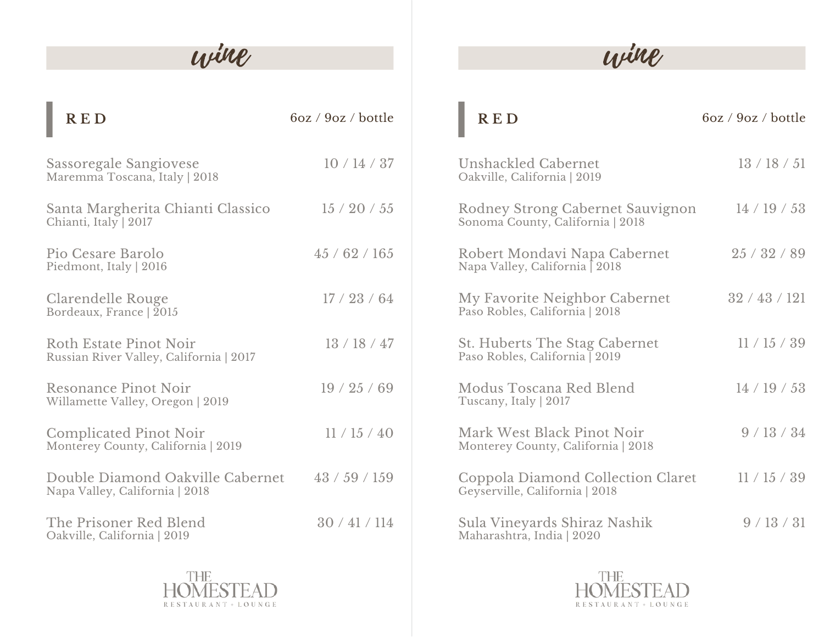# wine

| <b>RED</b>                                                          | 6oz / 9oz / bottle |                                  |
|---------------------------------------------------------------------|--------------------|----------------------------------|
| Sassoregale Sangiovese<br>Maremma Toscana, Italy   2018             | 10/14/37           | U<br>$\overline{O}$              |
| Santa Margherita Chianti Classico<br>Chianti, Italy   2017          | 15/20/55           | $\mathbb{R}$<br>S <sub>0</sub>   |
| Pio Cesare Barolo<br>Piedmont, Italy   2016                         | 45/62/165          | $\mathbb{R}$<br>N                |
| Clarendelle Rouge<br>Bordeaux, France   2015                        | 17/23/64           | IV.<br>P <sub>i</sub>            |
| Roth Estate Pinot Noir<br>Russian River Valley, California   2017   | 13/18/47           | S <sub>1</sub><br>P <sub>i</sub> |
| <b>Resonance Pinot Noir</b><br>Willamette Valley, Oregon   2019     | 19/25/69           | IV.<br>$\mathbf T$               |
| <b>Complicated Pinot Noir</b><br>Monterey County, California   2019 | 11/15/40           | IV.<br>M                         |
| Double Diamond Oakville Cabernet<br>Napa Valley, California   2018  | 43/59/159          | $\mathsf C$<br>G                 |
| The Prisoner Red Blend<br>Oakville, California   2019               | 30/41/114          | S <sub>1</sub><br>M              |



| 9oz / bottle | <b>RED</b>                                                           | 6oz / 9oz / bottle |
|--------------|----------------------------------------------------------------------|--------------------|
| 10/14/37     | Unshackled Cabernet<br>Oakville, California   2019                   | 13/18/51           |
| 15/20/55     | Rodney Strong Cabernet Sauvignon<br>Sonoma County, California   2018 | 14 / 19 / 53       |
| 5/62/165     | Robert Mondavi Napa Cabernet<br>Napa Valley, California 2018         | 25/32/89           |
| 17/23/64     | My Favorite Neighbor Cabernet<br>Paso Robles, California   2018      | 32/43/121          |
| 13/18/47     | St. Huberts The Stag Cabernet<br>Paso Robles, California   2019      | 11/15/39           |
| 19/25/69     | Modus Toscana Red Blend<br>Tuscany, Italy   2017                     | 14/19/53           |
| 11/15/40     | Mark West Black Pinot Noir<br>Monterey County, California   2018     | 9/13/34            |
| 3/59/159     | Coppola Diamond Collection Claret<br>Geyserville, California   2018  | 11/15/39           |
| 30/41/114    | Sula Vineyards Shiraz Nashik<br>Maharashtra, India   2020            | 9/13/31            |



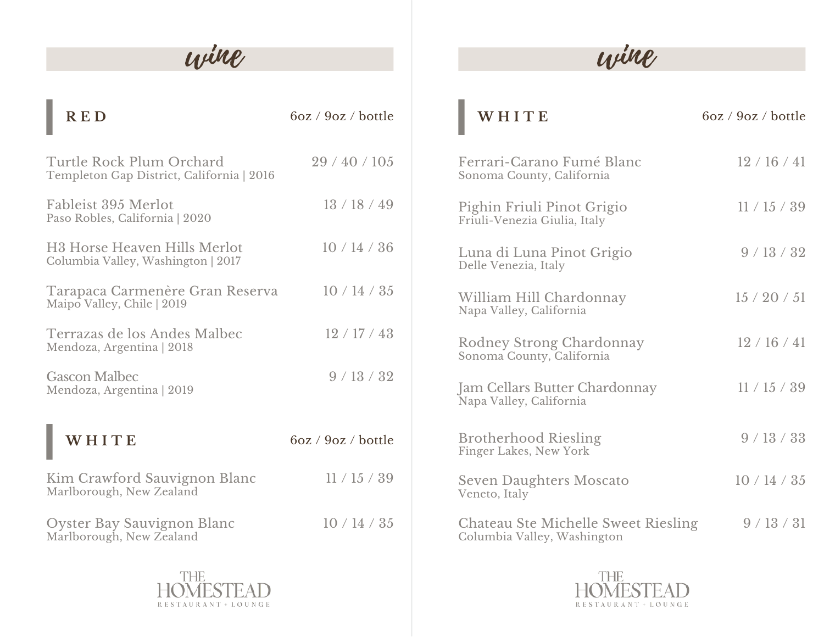# wine

| <b>RED</b>                                                                     | 6oz / 9oz / bottle |
|--------------------------------------------------------------------------------|--------------------|
| Turtle Rock Plum Orchard<br>Templeton Gap District, California   2016          | 29/40/105          |
| Fableist 395 Merlot<br>Paso Robles, California   2020                          | 13/18/49           |
| H <sub>3</sub> Horse Heaven Hills Merlot<br>Columbia Valley, Washington   2017 | 10/14/36           |
| Tarapaca Carmenère Gran Reserva<br>Maipo Valley, Chile   2019                  | 10/14/35           |
| Terrazas de los Andes Malbec<br>Mendoza, Argentina   2018                      | 12/17/43           |
| <b>Gascon Malbec</b><br>Mendoza, Argentina   2019                              | 9/13/32            |
| WHITE                                                                          | 6oz / 9oz / bottle |
| Kim Crawford Sauvignon Blanc<br>Marlborough, New Zealand                       | 11/15/39           |
| Oyster Bay Sauvignon Blanc<br>Marlborough, New Zealand                         | 10/14/35           |



# wine

| <b>RED</b>                                                        | 6oz / 9oz / bottle | WHITE                                                              | 6oz / 9oz / bottle |
|-------------------------------------------------------------------|--------------------|--------------------------------------------------------------------|--------------------|
| rtle Rock Plum Orchard<br>npleton Gap District, California   2016 | 29/40/105          | Ferrari-Carano Fumé Blanc<br>Sonoma County, California             | 12/16/41           |
| pleist 395 Merlot<br>o Robles, California   2020                  | 13/18/49           | Pighin Friuli Pinot Grigio<br>Friuli-Venezia Giulia, Italy         | 11/15/39           |
| Horse Heaven Hills Merlot<br>umbia Valley, Washington   2017      | 10/14/36           | Luna di Luna Pinot Grigio<br>Delle Venezia, Italy                  | 9/13/32            |
| rapaca Carmenère Gran Reserva<br>po Valley, Chile   2019          | 10/14/35           | William Hill Chardonnay<br>Napa Valley, California                 | 15/20/51           |
| rrazas de los Andes Malbec<br>ndoza, Argentina   2018             | 12/17/43           | Rodney Strong Chardonnay<br>Sonoma County, California              | 12/16/41           |
| scon Malbec<br>ndoza, Argentina   2019                            | 9/13/32            | <b>Jam Cellars Butter Chardonnay</b><br>Napa Valley, California    | 11/15/39           |
| WHITE                                                             | 6oz / 9oz / bottle | <b>Brotherhood Riesling</b><br>Finger Lakes, New York              | 9/13/33            |
| n Crawford Sauvignon Blanc<br>rlborough, New Zealand              | 11/15/39           | <b>Seven Daughters Moscato</b><br>Veneto, Italy                    | 10/14/35           |
| ster Bay Sauvignon Blanc<br>rlborough, New Zealand                | 10/14/35           | Chateau Ste Michelle Sweet Riesling<br>Columbia Valley, Washington | 9/13/31            |

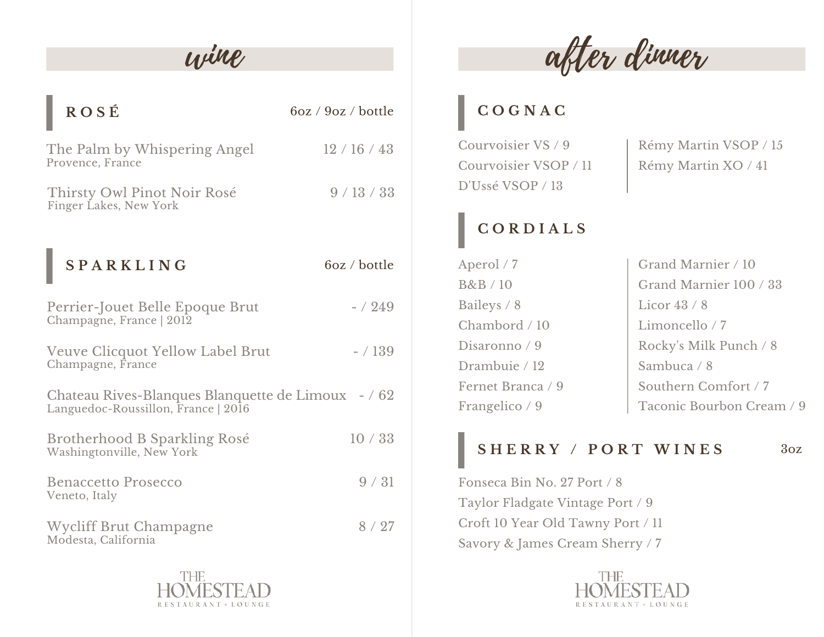| <b>ROSÉ</b>                                                                               | 6oz / 9oz / bottle |  |
|-------------------------------------------------------------------------------------------|--------------------|--|
| The Palm by Whispering Angel<br>Provence, France                                          | 12/16/43           |  |
| Thirsty Owl Pinot Noir Rosé<br>Finger Lakes, New York                                     | 9/13/33            |  |
| <b>SPARKLING</b>                                                                          | 6oz / bottle       |  |
| Perrier-Jouet Belle Epoque Brut<br>Champagne, France   2012                               | $- / 249$          |  |
| Veuve Clicquot Yellow Label Brut<br>Champagne, France                                     | $- / 139$          |  |
| Chateau Rives-Blanques Blanquette de Limoux - / 62<br>Languedoc-Roussillon, France   2016 |                    |  |
| Brotherhood B Sparkling Rosé<br>Washingtonville, New York                                 | 10/33              |  |
| <b>Benaccetto Prosecco</b><br>Veneto, Italy                                               | 9/31               |  |
| <b>Wycliff Brut Champagne</b><br>Modesta, California                                      | 8/27               |  |



wine after dinner

#### **C O G N A C**

Courvoisier VS / 9 Courvoisier VSOP / 11 D'Ussé VSOP / 13

[Rémy](https://www.remymartin.com/) Martin VSOP / 15 [Rémy](https://www.remymartin.com/) Martin XO / 41

## **C O R D I A L S**

Aperol / 7 B&B / 10 Baileys / 8 Chambord / 10 Disaronno / 9 Drambuie / 12 Fernet Branca / 9 Frangelico / 9 Grand Marnier / 10 Grand Marnier 100 / 33 Licor 43 / 8 Limoncello / 7 Rocky's Milk Punch / 8 Sambuca / 8 Southern Comfort / 7 Taconic Bourbon Cream / 9

### **S H E R R Y / P O R T W I N E S** 3oz

Fonseca Bin No. 27 Port / 8 Taylor Fladgate Vintage Port / 9 Croft 10 Year Old Tawny Port / 11 Savory & James Cream Sherry / 7

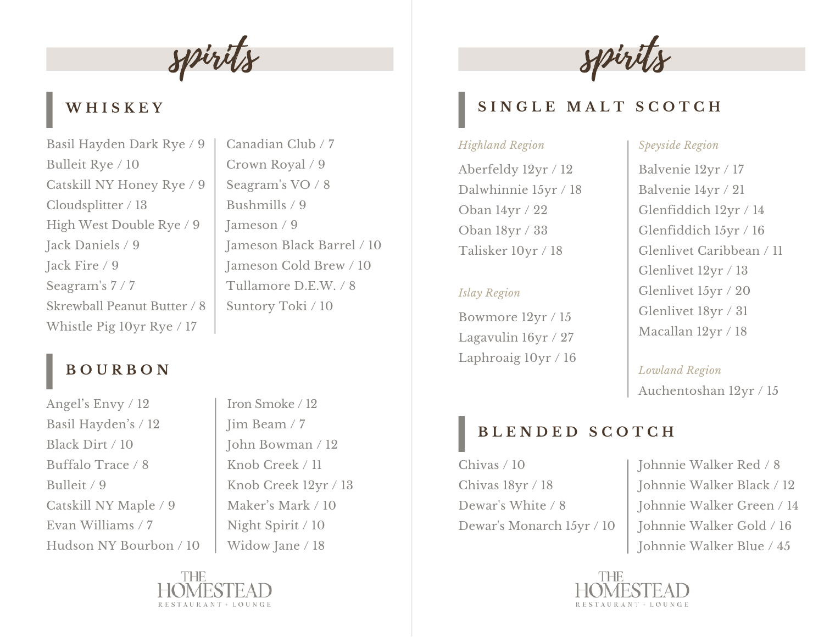spirits

### **W H I S K E Y**

Basil Hayden Dark Rye / 9 Bulleit Rye / 10 Catskill NY Honey Rye / 9 Cloudsplitter / 13 High West Double Rye / 9 Jack Daniels / 9 Jack Fire / 9 Seagram's 7 / 7 Skrewball Peanut Butter / 8 Whistle Pig 10yr Rye / 17

## **B O U R B O N**

Angel's Envy / 12 Basil Hayden's / 12 Black Dirt / 10 Buffalo Trace / 8 Bulleit / 9 Catskill NY Maple / 9 Evan Williams / 7 Hudson NY Bourbon / 10

Iron Smoke / 12 Jim Beam / 7 John Bowman / 12 Knob Creek / 11 Knob Creek 12yr / 13 Maker's Mark / 10 Night Spirit / 10 Widow Jane / 18

Canadian Club / 7

Crown Royal / 9

Seagram's VO / 8

Jameson Black Barrel / 10 Jameson Cold Brew / 10

Tullamore D.E.W. / 8

Suntory Toki / 10

Bushmills / 9

Jameson / 9





#### **S I N G L E M A L T S C O T C H**

#### *Highland Region*

Aberfeldy 12yr / 12 Dalwhinnie 15yr / 18 Oban 14yr / 22 Oban 18yr / 33 Talisker 10yr / 18

#### *Islay Region*

Bowmore 12yr / 15 Lagavulin 16yr / 27 Laphroaig 10yr / 16

#### *Speyside Region*

Balvenie 12yr / 17 Balvenie 14yr / 21 Glenfiddich 12yr / 14 Glenfiddich 15yr / 16 Glenlivet Caribbean / 11 Glenlivet 12yr / 13 Glenlivet 15yr / 20 Glenlivet 18yr / 31 Macallan 12yr / 18

Auchentoshan 12yr / 15 *Lowland Region*

#### **B L E N D E D S C O T C H**

- Chivas / 10 Chivas 18yr / 18 Dewar's White / 8 Dewar's Monarch 15yr / 10
- Johnnie Walker Red / 8 Johnnie Walker Black / 12 Johnnie Walker Green / 14 Johnnie Walker Gold / 16 Johnnie Walker Blue / 45